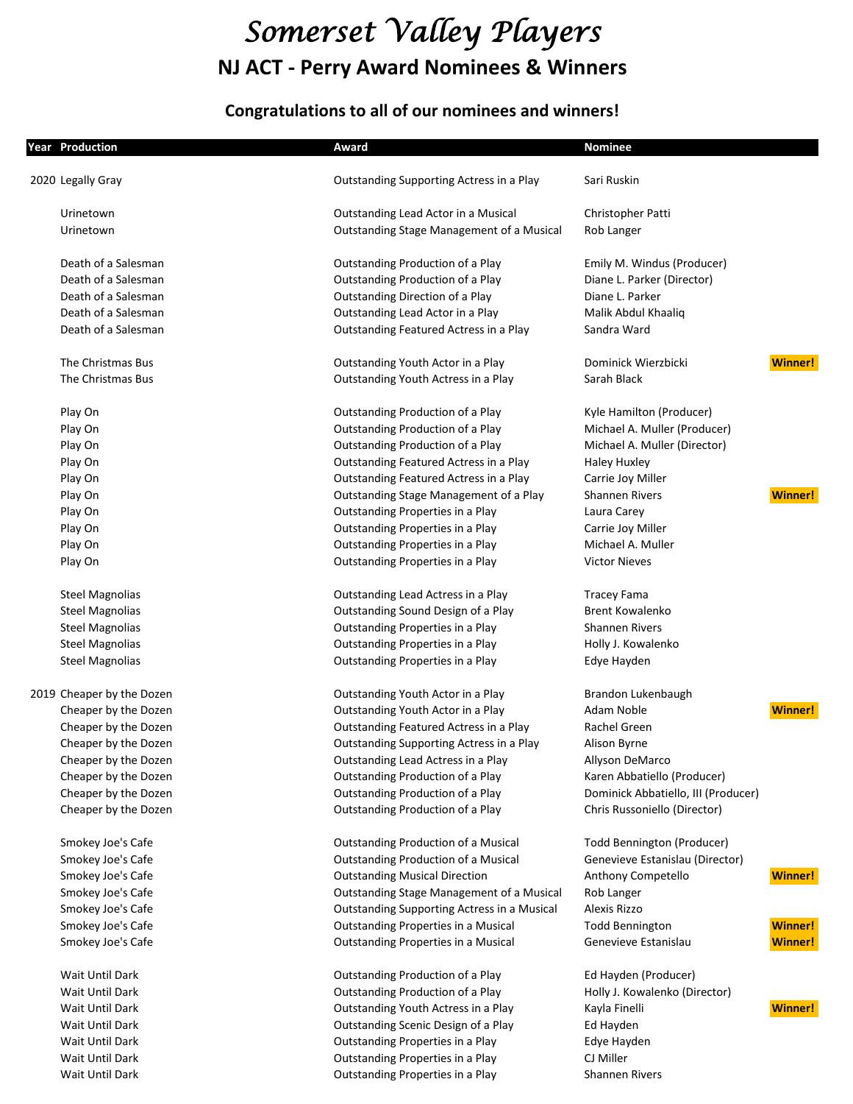# *Somerset Valley Players* **NJ ACT - Perry Award Nominees & Winners**

## **Congratulations to all of our nominees and winners!**

| <b>Year Production</b>    | Award                                       | <b>Nominee</b>                      |                |
|---------------------------|---------------------------------------------|-------------------------------------|----------------|
| 2020 Legally Gray         | Outstanding Supporting Actress in a Play    | Sari Ruskin                         |                |
|                           |                                             |                                     |                |
| Urinetown                 | Outstanding Lead Actor in a Musical         | Christopher Patti                   |                |
| Urinetown                 | Outstanding Stage Management of a Musical   | Rob Langer                          |                |
| Death of a Salesman       | Outstanding Production of a Play            | Emily M. Windus (Producer)          |                |
| Death of a Salesman       | Outstanding Production of a Play            | Diane L. Parker (Director)          |                |
| Death of a Salesman       | <b>Outstanding Direction of a Play</b>      | Diane L. Parker                     |                |
| Death of a Salesman       | Outstanding Lead Actor in a Play            | Malik Abdul Khaaliq                 |                |
| Death of a Salesman       | Outstanding Featured Actress in a Play      | Sandra Ward                         |                |
| The Christmas Bus         | Outstanding Youth Actor in a Play           | Dominick Wierzbicki                 | <b>Winner!</b> |
| The Christmas Bus         | Outstanding Youth Actress in a Play         | Sarah Black                         |                |
| Play On                   | Outstanding Production of a Play            | Kyle Hamilton (Producer)            |                |
| Play On                   | Outstanding Production of a Play            | Michael A. Muller (Producer)        |                |
| Play On                   | Outstanding Production of a Play            | Michael A. Muller (Director)        |                |
| Play On                   | Outstanding Featured Actress in a Play      | <b>Haley Huxley</b>                 |                |
| Play On                   | Outstanding Featured Actress in a Play      | Carrie Joy Miller                   |                |
| Play On                   | Outstanding Stage Management of a Play      | <b>Shannen Rivers</b>               | <b>Winner!</b> |
| Play On                   | Outstanding Properties in a Play            | Laura Carey                         |                |
| Play On                   | Outstanding Properties in a Play            | Carrie Joy Miller                   |                |
| Play On                   | Outstanding Properties in a Play            | Michael A. Muller                   |                |
| Play On                   | Outstanding Properties in a Play            | <b>Victor Nieves</b>                |                |
| <b>Steel Magnolias</b>    | Outstanding Lead Actress in a Play          | <b>Tracey Fama</b>                  |                |
| <b>Steel Magnolias</b>    | Outstanding Sound Design of a Play          | <b>Brent Kowalenko</b>              |                |
| <b>Steel Magnolias</b>    | Outstanding Properties in a Play            | <b>Shannen Rivers</b>               |                |
| <b>Steel Magnolias</b>    | Outstanding Properties in a Play            | Holly J. Kowalenko                  |                |
| <b>Steel Magnolias</b>    | Outstanding Properties in a Play            | Edye Hayden                         |                |
| 2019 Cheaper by the Dozen | Outstanding Youth Actor in a Play           | Brandon Lukenbaugh                  |                |
| Cheaper by the Dozen      | Outstanding Youth Actor in a Play           | Adam Noble                          | <b>Winner!</b> |
| Cheaper by the Dozen      | Outstanding Featured Actress in a Play      | Rachel Green                        |                |
| Cheaper by the Dozen      | Outstanding Supporting Actress in a Play    | Alison Byrne                        |                |
| Cheaper by the Dozen      | Outstanding Lead Actress in a Play          | Allyson DeMarco                     |                |
| Cheaper by the Dozen      | Outstanding Production of a Play            | Karen Abbatiello (Producer)         |                |
| Cheaper by the Dozen      | Outstanding Production of a Play            | Dominick Abbatiello, III (Producer) |                |
| Cheaper by the Dozen      | Outstanding Production of a Play            | Chris Russoniello (Director)        |                |
| Smokey Joe's Cafe         | Outstanding Production of a Musical         | Todd Bennington (Producer)          |                |
| Smokey Joe's Cafe         | <b>Outstanding Production of a Musical</b>  | Genevieve Estanislau (Director)     |                |
| Smokey Joe's Cafe         | <b>Outstanding Musical Direction</b>        | Anthony Competello                  | <b>Winner!</b> |
| Smokey Joe's Cafe         | Outstanding Stage Management of a Musical   | Rob Langer                          |                |
| Smokey Joe's Cafe         | Outstanding Supporting Actress in a Musical | Alexis Rizzo                        |                |
| Smokey Joe's Cafe         | Outstanding Properties in a Musical         | <b>Todd Bennington</b>              | <b>Winner!</b> |
| Smokey Joe's Cafe         | Outstanding Properties in a Musical         | Genevieve Estanislau                | <b>Winner!</b> |
| Wait Until Dark           | Outstanding Production of a Play            | Ed Hayden (Producer)                |                |
| Wait Until Dark           | Outstanding Production of a Play            | Holly J. Kowalenko (Director)       |                |
| Wait Until Dark           | Outstanding Youth Actress in a Play         | Kayla Finelli                       | <b>Winner!</b> |
| Wait Until Dark           | Outstanding Scenic Design of a Play         | Ed Hayden                           |                |
| Wait Until Dark           | Outstanding Properties in a Play            | Edye Hayden                         |                |
| Wait Until Dark           | Outstanding Properties in a Play            | CJ Miller                           |                |
| Wait Until Dark           | Outstanding Properties in a Play            | <b>Shannen Rivers</b>               |                |
|                           |                                             |                                     |                |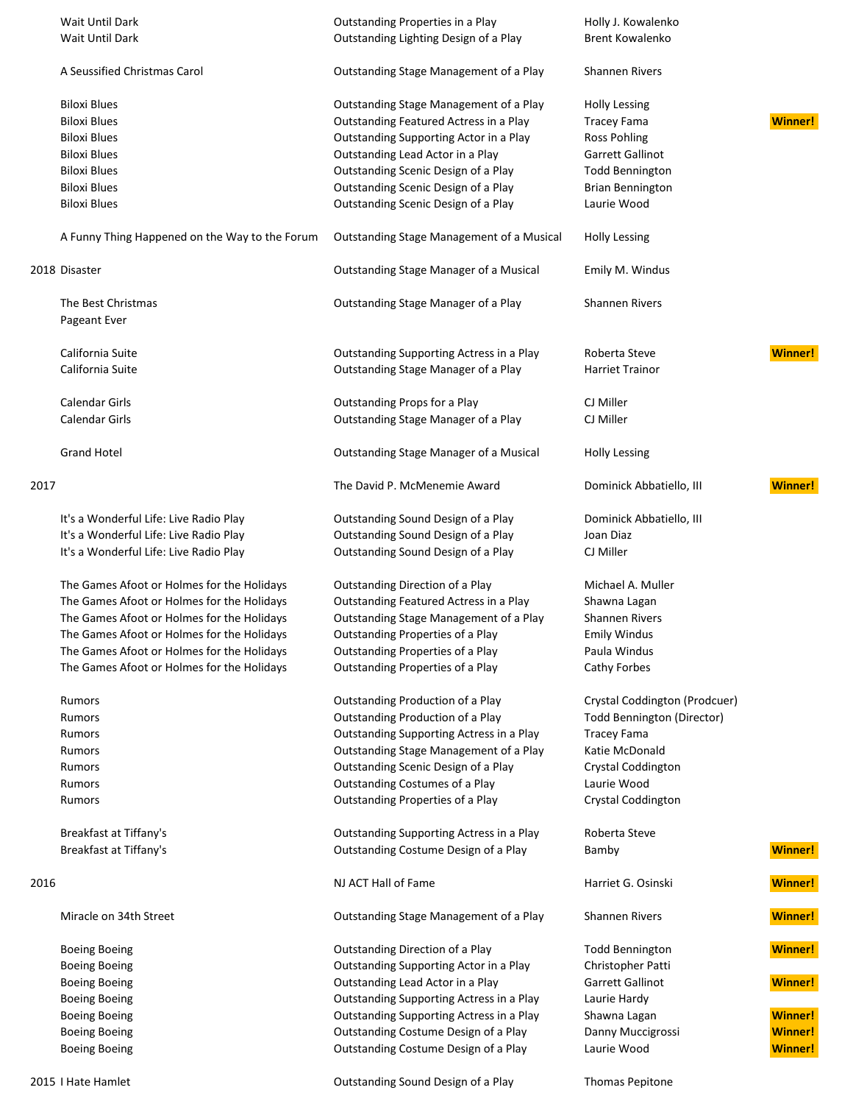|      | Wait Until Dark                                | Outstanding Properties in a Play          | Holly J. Kowalenko            |                |
|------|------------------------------------------------|-------------------------------------------|-------------------------------|----------------|
|      | Wait Until Dark                                | Outstanding Lighting Design of a Play     | <b>Brent Kowalenko</b>        |                |
|      |                                                |                                           |                               |                |
|      | A Seussified Christmas Carol                   | Outstanding Stage Management of a Play    | <b>Shannen Rivers</b>         |                |
|      |                                                |                                           |                               |                |
|      | <b>Biloxi Blues</b>                            | Outstanding Stage Management of a Play    | <b>Holly Lessing</b>          |                |
|      | <b>Biloxi Blues</b>                            | Outstanding Featured Actress in a Play    | <b>Tracey Fama</b>            | <b>Winner!</b> |
|      | <b>Biloxi Blues</b>                            | Outstanding Supporting Actor in a Play    | <b>Ross Pohling</b>           |                |
|      | <b>Biloxi Blues</b>                            | Outstanding Lead Actor in a Play          | Garrett Gallinot              |                |
|      | <b>Biloxi Blues</b>                            | Outstanding Scenic Design of a Play       | <b>Todd Bennington</b>        |                |
|      |                                                |                                           |                               |                |
|      | <b>Biloxi Blues</b>                            | Outstanding Scenic Design of a Play       | <b>Brian Bennington</b>       |                |
|      | <b>Biloxi Blues</b>                            | Outstanding Scenic Design of a Play       | Laurie Wood                   |                |
|      | A Funny Thing Happened on the Way to the Forum | Outstanding Stage Management of a Musical | <b>Holly Lessing</b>          |                |
|      | 2018 Disaster                                  | Outstanding Stage Manager of a Musical    | Emily M. Windus               |                |
|      |                                                |                                           |                               |                |
|      | The Best Christmas                             | Outstanding Stage Manager of a Play       | <b>Shannen Rivers</b>         |                |
|      | Pageant Ever                                   |                                           |                               |                |
|      | California Suite                               | Outstanding Supporting Actress in a Play  | Roberta Steve                 | <b>Winner!</b> |
|      | California Suite                               | Outstanding Stage Manager of a Play       | <b>Harriet Trainor</b>        |                |
|      |                                                |                                           |                               |                |
|      | <b>Calendar Girls</b>                          | Outstanding Props for a Play              | CJ Miller                     |                |
|      | <b>Calendar Girls</b>                          | Outstanding Stage Manager of a Play       | CJ Miller                     |                |
|      | <b>Grand Hotel</b>                             | Outstanding Stage Manager of a Musical    | <b>Holly Lessing</b>          |                |
| 2017 |                                                | The David P. McMenemie Award              | Dominick Abbatiello, III      | <b>Winner!</b> |
|      |                                                |                                           |                               |                |
|      | It's a Wonderful Life: Live Radio Play         | Outstanding Sound Design of a Play        | Dominick Abbatiello, III      |                |
|      | It's a Wonderful Life: Live Radio Play         | Outstanding Sound Design of a Play        | Joan Diaz                     |                |
|      | It's a Wonderful Life: Live Radio Play         | Outstanding Sound Design of a Play        | CJ Miller                     |                |
|      | The Games Afoot or Holmes for the Holidays     | Outstanding Direction of a Play           | Michael A. Muller             |                |
|      | The Games Afoot or Holmes for the Holidays     | Outstanding Featured Actress in a Play    | Shawna Lagan                  |                |
|      | The Games Afoot or Holmes for the Holidays     | Outstanding Stage Management of a Play    | <b>Shannen Rivers</b>         |                |
|      | The Games Afoot or Holmes for the Holidays     | Outstanding Properties of a Play          | <b>Emily Windus</b>           |                |
|      |                                                |                                           | Paula Windus                  |                |
|      | The Games Afoot or Holmes for the Holidays     | Outstanding Properties of a Play          |                               |                |
|      | The Games Afoot or Holmes for the Holidays     | Outstanding Properties of a Play          | Cathy Forbes                  |                |
|      | Rumors                                         | Outstanding Production of a Play          | Crystal Coddington (Prodcuer) |                |
|      | Rumors                                         | Outstanding Production of a Play          | Todd Bennington (Director)    |                |
|      | Rumors                                         | Outstanding Supporting Actress in a Play  | <b>Tracey Fama</b>            |                |
|      | Rumors                                         | Outstanding Stage Management of a Play    | Katie McDonald                |                |
|      | Rumors                                         | Outstanding Scenic Design of a Play       | Crystal Coddington            |                |
|      | Rumors                                         | Outstanding Costumes of a Play            | Laurie Wood                   |                |
|      | Rumors                                         | Outstanding Properties of a Play          | Crystal Coddington            |                |
|      |                                                |                                           |                               |                |
|      | Breakfast at Tiffany's                         | Outstanding Supporting Actress in a Play  | Roberta Steve                 |                |
|      | Breakfast at Tiffany's                         | Outstanding Costume Design of a Play      | Bamby                         | <b>Winner!</b> |
|      |                                                |                                           |                               |                |
| 2016 |                                                | NJ ACT Hall of Fame                       | Harriet G. Osinski            | <b>Winner!</b> |
|      | Miracle on 34th Street                         | Outstanding Stage Management of a Play    | <b>Shannen Rivers</b>         | <b>Winner!</b> |
|      | <b>Boeing Boeing</b>                           | Outstanding Direction of a Play           | <b>Todd Bennington</b>        | <b>Winner!</b> |
|      | <b>Boeing Boeing</b>                           | Outstanding Supporting Actor in a Play    | Christopher Patti             |                |
|      | <b>Boeing Boeing</b>                           | Outstanding Lead Actor in a Play          | Garrett Gallinot              | <b>Winner!</b> |
|      | <b>Boeing Boeing</b>                           | Outstanding Supporting Actress in a Play  | Laurie Hardy                  |                |
|      | <b>Boeing Boeing</b>                           | Outstanding Supporting Actress in a Play  | Shawna Lagan                  | <b>Winner!</b> |
|      | <b>Boeing Boeing</b>                           | Outstanding Costume Design of a Play      | Danny Muccigrossi             | <b>Winner!</b> |
|      | <b>Boeing Boeing</b>                           | Outstanding Costume Design of a Play      | Laurie Wood                   | <b>Winner!</b> |
|      |                                                |                                           |                               |                |
|      |                                                |                                           |                               |                |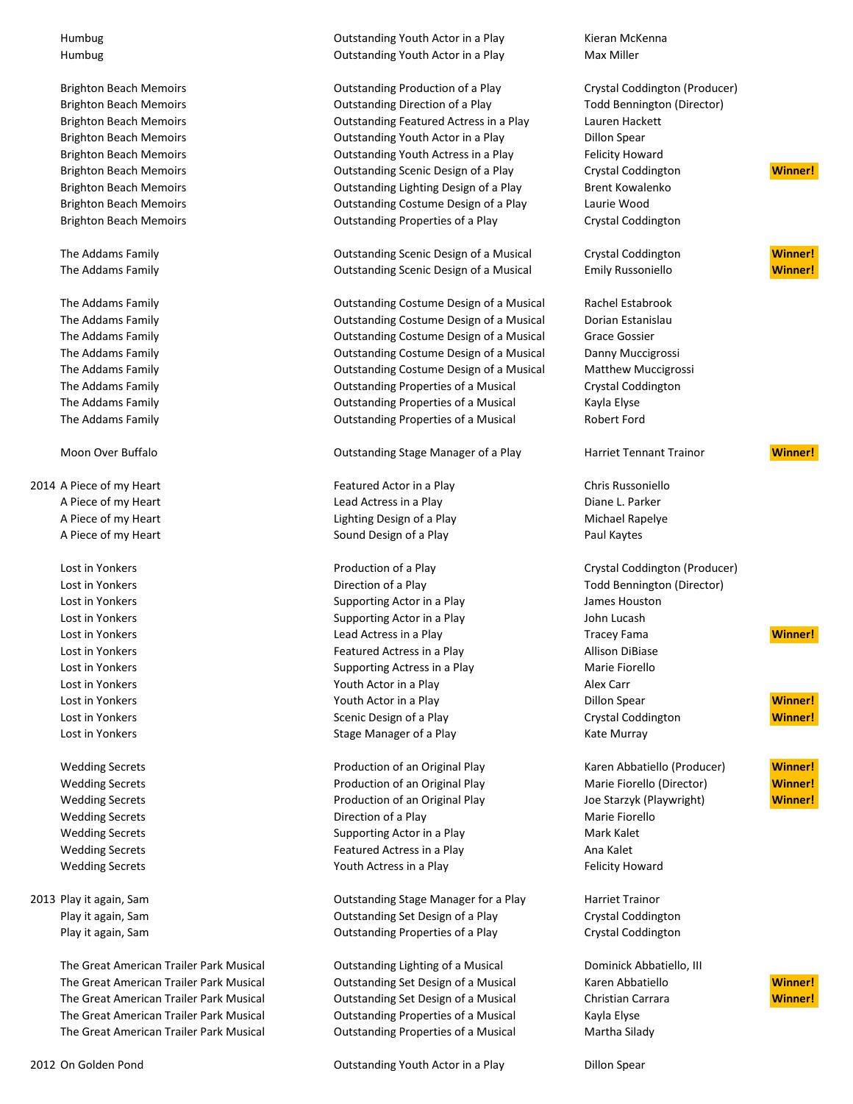2014 A Piece of my Heart Featured Actor in a Play Chris Russoniello

The Great American Trailer Park Musical **Canadia Containation** Outstanding Lighting of a Musical Dominick Abbatiello, III The Great American Trailer Park Musical **Outstanding Set Design of a Musical** Karen Abbatiello **Winner!** The Great American Trailer Park Musical Outstanding Set Design of a Musical Christian Carrara **Winner!** The Great American Trailer Park Musical Outstanding Properties of a Musical Kayla Elyse The Great American Trailer Park Musical **Canadia** Dutstanding Properties of a Musical Martha Silady

Humbug **Market Actor in a Play Actor in a Play Cuttion Actor in a Play Actor** in a Play **Kieran McKenna** Humbug **Max Miller** Cutstanding Youth Actor in a Play Max Miller

Brighton Beach Memoirs **Crystal Construction Outstanding Production of a Play** Crystal Coddington (Producer) Brighton Beach Memoirs **State Contains the Contemporation** Outstanding Direction of a Play Todd Bennington (Director) Brighton Beach Memoirs Outstanding Featured Actress in a Play Lauren Hackett Brighton Beach Memoirs **Containers** Outstanding Youth Actor in a Play **Dillon Spear** Brighton Beach Memoirs **State Actress in a Play Felicity Howard** Outstanding Youth Actress in a Play Felicity Howard Brighton Beach Memoirs **Canadiatic Control Control Control** Outstanding Scenic Design of a Play Crystal Coddington **Winner!** Brighton Beach Memoirs **Containers Containers Continued Act and Containers** Dutstanding Lighting Design of a Play Brent Kowalenko Brighton Beach Memoirs Outstanding Costume Design of a Play Laurie Wood Brighton Beach Memoirs **State Contains Containers** Outstanding Properties of a Play Crystal Coddington

The Addams Family **Cambus Constanting Scenic Design of a Musical Crystal Coddington Crystal Coddington Winner!** The Addams Family Outstanding Scenic Design of a Musical Emily Russoniello **Winner!**

The Addams Family **The Addams Family Communist Constanding Costume Design of a Musical Rachel Estabrook** Communist Constanting Costume Design of a Musical Rachel Estabrook The Addams Family **The Addams** Family **The Addams** Family **Constanting Costume Design of a Musical** Dorian Estanislau The Addams Family **The Addams Family Costume Design of a Musical Grace Gossier** Costume Design of a Musical Grace Gossier The Addams Family Outstanding Costume Design of a Musical Danny Muccigrossi The Addams Family Outstanding Costume Design of a Musical Matthew Muccigrossi The Addams Family Outstanding Properties of a Musical Crystal Coddington The Addams Family **The Addams** Family **Cutstanding Properties of a Musical** Kayla Elyse The Addams Family Outstanding Properties of a Musical Robert Ford

Moon Over Buffalo Outstanding Stage Manager of a Play Harriet Tennant Trainor **Winner!**

A Piece of my Heart **Lead Actress in a Play Community** Lead Actress in a Play Communication Charles Diane L. Parker A Piece of my Heart **Lighting Design of a Play Community** Michael Rapelye A Piece of my Heart **Network Communist Communist Communist Communist Communist Communist Communist Communist Communist Communist Paul Kaytes** 

Lost in Yonkers **Example 2** Contract Direction of a Play Total Bennington (Director) Lost in Yonkers **Supporting Actor in a Play** James Houston **James Houston** Lost in Yonkers **Supporting Actor in a Play** John Lucash John Lucash John Lucash Lost in Yonkers **Featured Actress in a Play Allison DiBiase** Allison DiBiase **Featured Actress in a Play** Lost in Yonkers **Supporting Actress in a Play** Marie Fiorello Cost in American Supporting Actress in a Play Lost in Yonkers **Notify Actor in a Play Alex Carr** Youth Actor in a Play Alex Carr Alex Carr Lost in Yonkers **Stage Manager of a Play Community** Kate Murray Kate Murray Kate Murray

Wedding Secrets **Production of an Original Play Charen Abbatiello (Producer) Winner!** Winner! Wedding Secrets **Production of an Original Play Marie Fiorello (Director) Winner!** Winner! Wedding Secrets **Production of an Original Play** Joe Starzyk (Playwright) **Winner!** Winner! Wedding Secrets **Direction of a Play** Marie Fiorello Marie Fiorello Wedding Secrets **Supporting Actor in a Play Mark Kalet** Mark Kalet Wedding Secrets **Featured Actress in a Play Ana Kalet** Ana Kalet Wedding Secrets **The Contract Contract Contract Contract Contract Contract Contract Contract Contract Contract Contract Contract Contract Contract Contract Contract Contract Contract Contract Contract Contract Contract Con** 

2013 Play it again, Sam Outstanding Stage Manager for a Play Harriet Trainor Play it again, Sam Outstanding Set Design of a Play Crystal Coddington Play it again, Sam **Calcular Crystal Codding to Properties of a Play Crystal Coddington** Crystal Coddington

2012 On Golden Pond Outstanding Youth Actor in a Play Dillon Spear

Lost in Yonkers **Example 20** 2012 The Production of a Play **Production of a Play Crystal Coddington (Producer)** Lost in Yonkers Lead Actress in a Play Tracey Fama **Winner!** Lost in Yonkers **Winner!** Youth Actor in a Play **Dillon Spear Minner!** Winner! Lost in Yonkers **Scenic Design of a Play Crystal Coddington** Crystal Coddington **Winner!** 

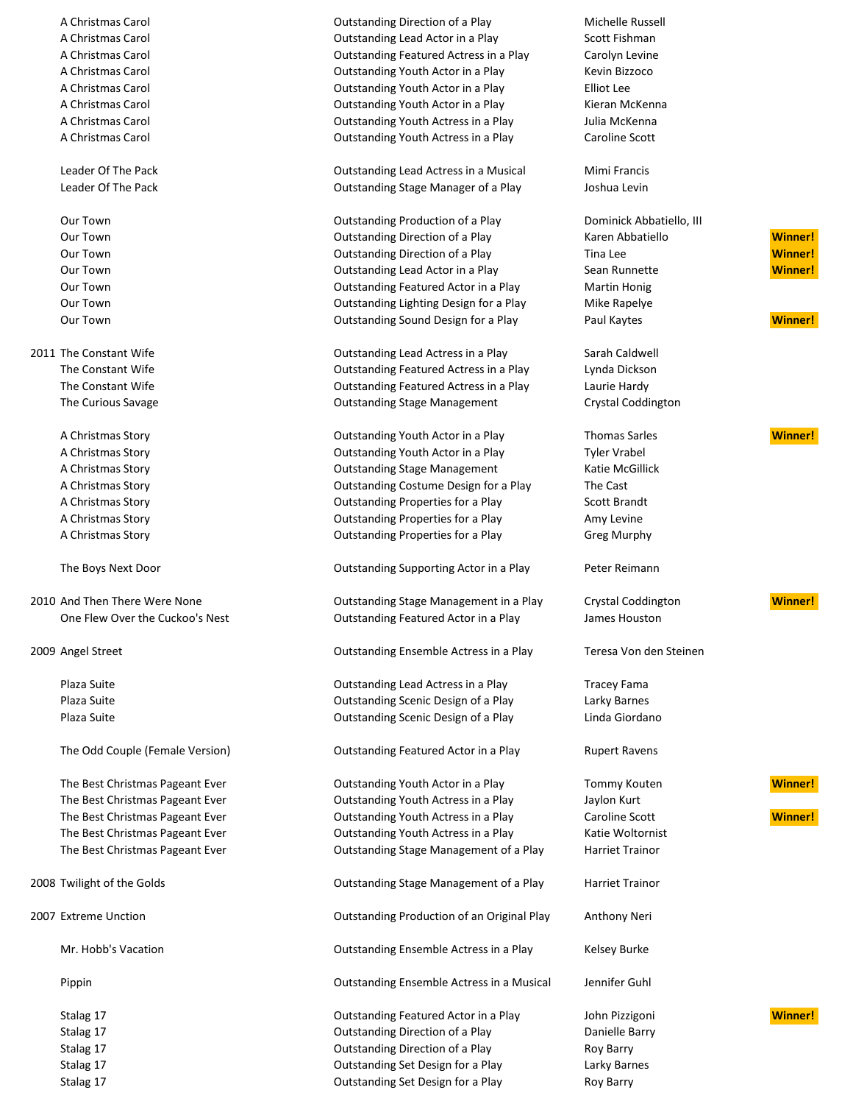2010 And Then There Were None Outstanding Stage Management in a Play Crystal Coddington **Winner!**

A Christmas Carol **A. A. Construction Carolic Construction** Outstanding Direction of a Play **Michelle Russell** A Christmas Carol **Action** Carol Content Courstanding Lead Actor in a Play Scott Fishman A Christmas Carol Outstanding Featured Actress in a Play Carolyn Levine A Christmas Carol **Carol Carol Carol Control Control Control Control Control Control Control Control Control Control Control Control Control Control Control Control Control Control Control Control Control Control Control C** A Christmas Carol **Christmas Carol Controller Controller Controller Controller Controller Controller Controller** A Christmas Carol **Christmas Carol Carol Control Control Control Control Control Control Control Control Control Control Control Control Control Control Control Control Control Control Control Control Control Control Contr** A Christmas Carol Outstanding Youth Actress in a Play Julia McKenna A Christmas Carol **Carol Carol Carol Caroline Scott** Contract Outstanding Youth Actress in a Play Caroline Scott

Leader Of The Pack Outstanding Lead Actress in a Musical Mimi Francis Leader Of The Pack Outstanding Stage Manager of a Play Joshua Levin

Our Town **Outstanding Production of a Play** Dominick Abbatiello, III Our Town Outstanding Direction of a Play Karen Abbatiello **Winner!** Our Town Outstanding Direction of a Play Tina Lee **Winner!** Our Town **Constanting Constanding Lead Actor in a Play Sean Runnette** and Sean Runnette **Winner!** Our Town **Outstanding Featured Actor in a Play** Martin Honig Our Town Outstanding Lighting Design for a Play Mike Rapelye Our Town **Construction Construction Construction** Outstanding Sound Design for a Play Paul Kaytes **Paul Kaytes Winner!** 

2011 The Constant Wife **Constant Wife Constant Outstanding Lead Actress in a Play Carah Caldwell** The Constant Wife **Constant Wife Constant Constant Integration** Cutstanding Featured Actress in a Play Lynda Dickson The Constant Wife **Constanding Featured Actress in a Play** Constant March 2016 The Curious Savage The Curious Savage Crystal Coddington Crystal Coddington Crystal Coddington

A Christmas Story **Christmas Story Council Control** Outstanding Youth Actor in a Play Thomas Sarles **Winner!** A Christmas Story **Christmas Story Constanting Youth Actor in a Play Christmas Story Christmas Actor** in a Play A Christmas Story **Christmas Story Construction Constraint** Outstanding Stage Management Katie McGillick A Christmas Story **Christmas Story Community Costume Design for a Play** The Cast A Christmas Story **Christmas Story Contains A Christmas Story Contains A Christmas Story Contains A Christmas Scott Brandt** A Christmas Story Outstanding Properties for a Play Amy Levine A Christmas Story Outstanding Properties for a Play Greg Murphy

The Boys Next Door **Containers Active Active Active Active Active Actor** in a Play Peter Reimann

One Flew Over the Cuckoo's Nest Outstanding Featured Actor in a Play James Houston

2009 Angel Street Outstanding Ensemble Actress in a Play Teresa Von den Steinen

Plaza Suite **Duting Containing Continuing Lead Actress in a Play Containing Lead Actress in a Play Containing Lead Actress in a Play Containing Lead Actress in a Play Containing Lead Actress in a Play** Plaza Suite **Contains a Container Container Containers** Outstanding Scenic Design of a Play **Containers** Larky Barnes Plaza Suite **Calcular Scenic Design of a Play** Cutstanding Scenic Design of a Play Cura Linda Giordano

The Odd Couple (Female Version) **Cutstanding Featured Actor in a Play** Rupert Ravens

The Best Christmas Pageant Ever **Outstanding Youth Actor in a Play** Tommy Kouten **Winner!** The Best Christmas Pageant Ever **Christmas Pageant Ever** Cutstanding Youth Actress in a Play Jaylon Kurt The Best Christmas Pageant Ever **Christmas Pageant Ever Coutstanding Youth Actress in a Play Caroline Scott** Caroline Scott **Winner!** The Best Christmas Pageant Ever **Christmas Pageant Ever** Outstanding Youth Actress in a Play Katie Woltornist The Best Christmas Pageant Ever **Christiane Constanding Stage Management of a Play** Harriet Trainor

2008 Twilight of the Golds **Called Accords** Outstanding Stage Management of a Play Harriet Trainor

2007 Extreme Unction Outstanding Production of an Original Play Anthony Neri

Mr. Hobb's Vacation **Calcular Contract Contract Actress in a Play** Curstanding Ensemble Actress in a Play Curstanding Ensemble Actress in a Play

Pippin Outstanding Ensemble Actress in a Musical Jennifer Guhl

Stalag 17 Outstanding Featured Actor in a Play John Pizzigoni **Winner!** Stalag 17 **Stalag 17 COLL 20 Interval Direction of a Play Contemporal Direction of a Play Contemporal Danielle Barry** Stalag 17 **Stalag 17** Cutstanding Direction of a Play Roy Barry Roy Barry Stalag 17 Outstanding Set Design for a Play Larky Barnes Stalag 17 **Stalag 17** Cutstanding Set Design for a Play Roy Barry Roy Barry